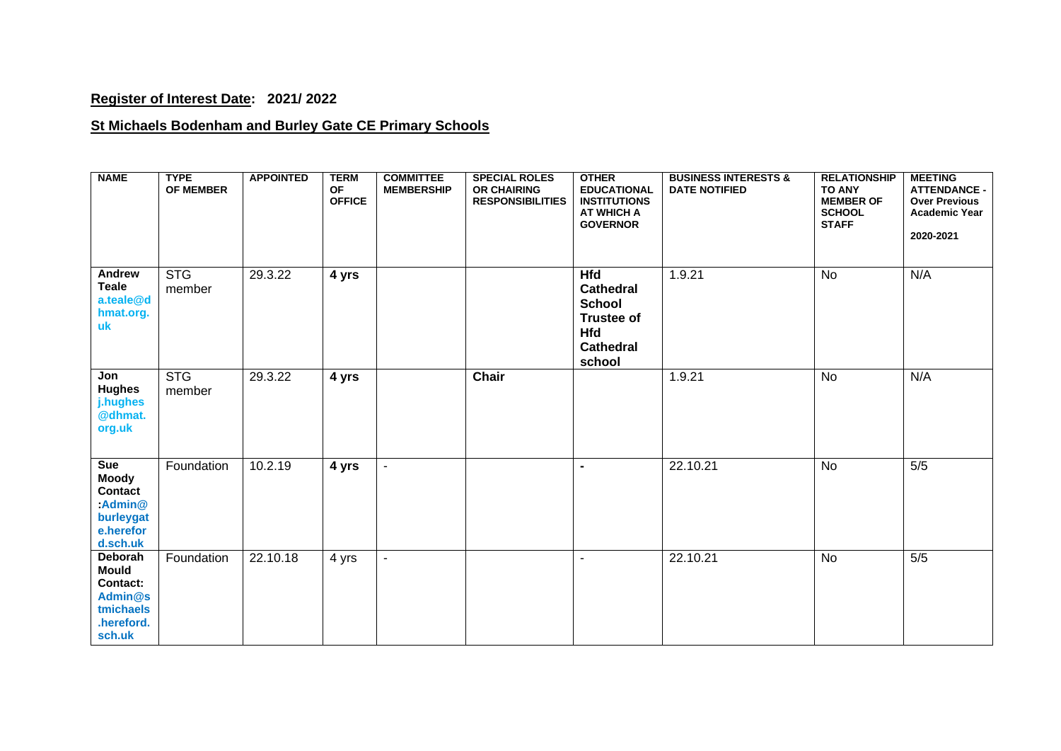## **Register of Interest Date: 2021/ 2022**

## **St Michaels Bodenham and Burley Gate CE Primary Schools**

| <b>NAME</b>                                                                                  | <b>TYPE</b><br><b>OF MEMBER</b> | <b>APPOINTED</b> | <b>TERM</b><br><b>OF</b><br><b>OFFICE</b> | <b>COMMITTEE</b><br><b>MEMBERSHIP</b> | <b>SPECIAL ROLES</b><br><b>OR CHAIRING</b><br><b>RESPONSIBILITIES</b> | <b>OTHER</b><br><b>EDUCATIONAL</b><br><b>INSTITUTIONS</b><br><b>AT WHICH A</b><br><b>GOVERNOR</b>                | <b>BUSINESS INTERESTS &amp;</b><br><b>DATE NOTIFIED</b> | <b>RELATIONSHIP</b><br><b>TO ANY</b><br><b>MEMBER OF</b><br><b>SCHOOL</b><br><b>STAFF</b> | <b>MEETING</b><br><b>ATTENDANCE -</b><br><b>Over Previous</b><br><b>Academic Year</b><br>2020-2021 |
|----------------------------------------------------------------------------------------------|---------------------------------|------------------|-------------------------------------------|---------------------------------------|-----------------------------------------------------------------------|------------------------------------------------------------------------------------------------------------------|---------------------------------------------------------|-------------------------------------------------------------------------------------------|----------------------------------------------------------------------------------------------------|
| Andrew<br><b>Teale</b><br>a.teale@d<br>hmat.org.<br>uk                                       | <b>STG</b><br>member            | 29.3.22          | 4 yrs                                     |                                       |                                                                       | <b>Hfd</b><br><b>Cathedral</b><br><b>School</b><br><b>Trustee of</b><br><b>Hfd</b><br><b>Cathedral</b><br>school | 1.9.21                                                  | <b>No</b>                                                                                 | N/A                                                                                                |
| Jon<br><b>Hughes</b><br>j.hughes<br>@dhmat.<br>org.uk                                        | <b>STG</b><br>member            | 29.3.22          | 4 yrs                                     |                                       | Chair                                                                 |                                                                                                                  | 1.9.21                                                  | <b>No</b>                                                                                 | N/A                                                                                                |
| Sue<br><b>Moody</b><br><b>Contact</b><br>$:$ Admin $@$<br>burleygat<br>e.herefor<br>d.sch.uk | Foundation                      | 10.2.19          | 4 yrs                                     | $\sim$                                |                                                                       | $\blacksquare$                                                                                                   | 22.10.21                                                | <b>No</b>                                                                                 | $5/5$                                                                                              |
| Deborah<br><b>Mould</b><br><b>Contact:</b><br>Admin@s<br>tmichaels<br>.hereford.<br>sch.uk   | Foundation                      | 22.10.18         | 4 yrs                                     | $\blacksquare$                        |                                                                       | $\blacksquare$                                                                                                   | 22.10.21                                                | <b>No</b>                                                                                 | 5/5                                                                                                |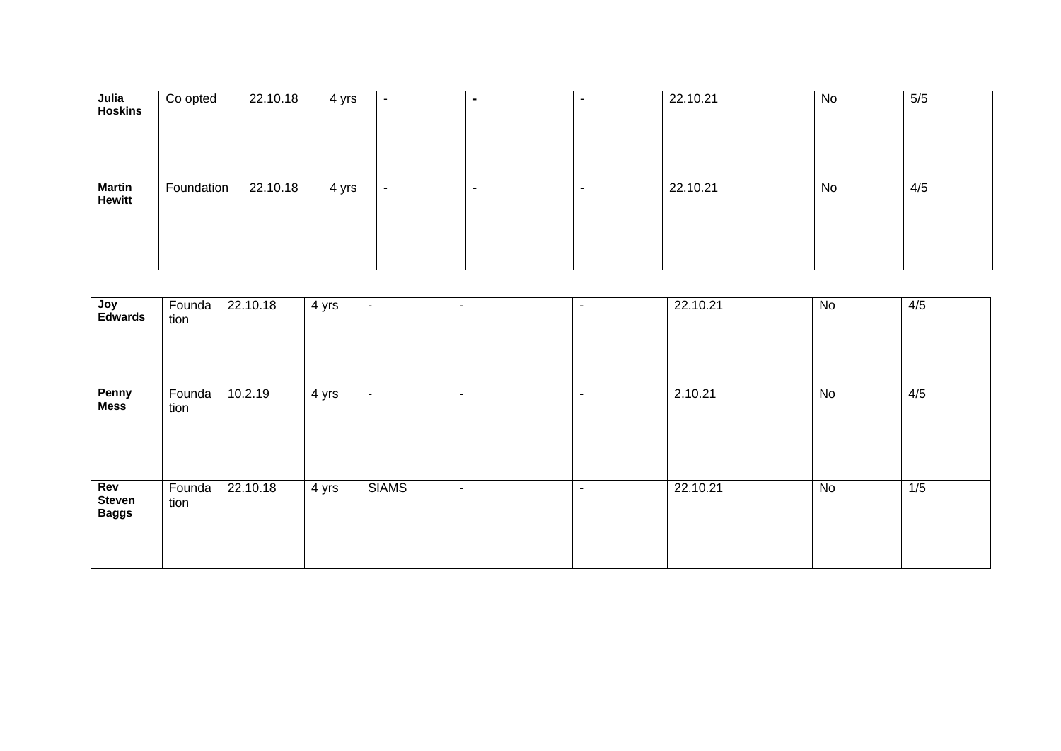| Julia          | Co opted   | 22.10.18 | 4 yrs | $\sim$                   | $\blacksquare$ | $\overline{\phantom{a}}$ | 22.10.21 | No | $5/5$ |
|----------------|------------|----------|-------|--------------------------|----------------|--------------------------|----------|----|-------|
| <b>Hoskins</b> |            |          |       |                          |                |                          |          |    |       |
|                |            |          |       |                          |                |                          |          |    |       |
|                |            |          |       |                          |                |                          |          |    |       |
|                |            |          |       |                          |                |                          |          |    |       |
|                |            |          |       |                          |                |                          |          |    |       |
|                |            |          |       |                          |                |                          |          |    |       |
| <b>Martin</b>  | Foundation | 22.10.18 | 4 yrs | $\overline{\phantom{a}}$ |                | $\overline{\phantom{0}}$ | 22.10.21 | No | 4/5   |
| <b>Hewitt</b>  |            |          |       |                          |                |                          |          |    |       |
|                |            |          |       |                          |                |                          |          |    |       |
|                |            |          |       |                          |                |                          |          |    |       |
|                |            |          |       |                          |                |                          |          |    |       |

| Joy<br><b>Edwards</b>                | Founda<br>tion | 22.10.18 | 4 yrs | $\blacksquare$ | $\overline{\phantom{a}}$ | $\overline{\phantom{a}}$ | 22.10.21 | No | 4/5 |
|--------------------------------------|----------------|----------|-------|----------------|--------------------------|--------------------------|----------|----|-----|
| Penny<br>Mess                        | Founda<br>tion | 10.2.19  | 4 yrs | $\blacksquare$ | $\blacksquare$           | $\blacksquare$           | 2.10.21  | No | 4/5 |
| Rev<br><b>Steven</b><br><b>Baggs</b> | Founda<br>tion | 22.10.18 | 4 yrs | <b>SIAMS</b>   | $\overline{\phantom{a}}$ | $\sim$                   | 22.10.21 | No | 1/5 |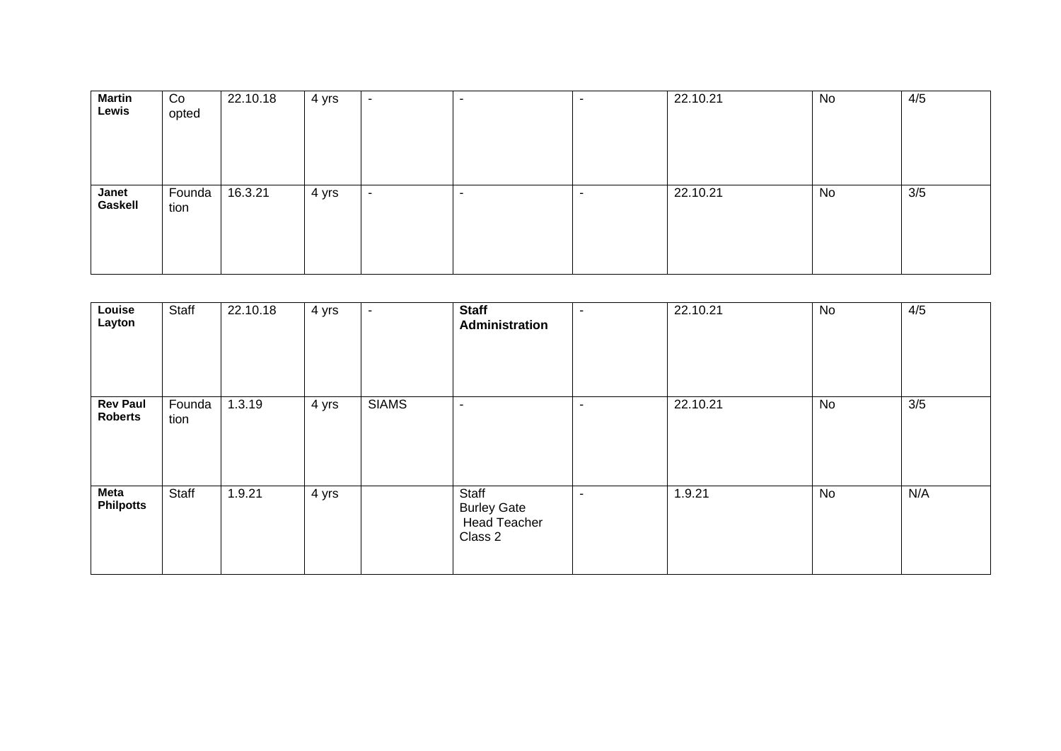| <b>Martin</b><br>Lewis | Co<br>opted    | 22.10.18 | 4 yrs | $\overline{\phantom{0}}$ | $\overline{\phantom{a}}$ | 22.10.21 | No | 4/5 |
|------------------------|----------------|----------|-------|--------------------------|--------------------------|----------|----|-----|
| Janet<br>Gaskell       | Founda<br>tion | 16.3.21  | 4 yrs | $\overline{\phantom{a}}$ | $\overline{\phantom{a}}$ | 22.10.21 | No | 3/5 |

| Louise<br>Layton                  | Staff          | 22.10.18 | 4 yrs | ٠            | <b>Staff</b><br>Administration                                | $\blacksquare$ | 22.10.21 | No | 4/5 |
|-----------------------------------|----------------|----------|-------|--------------|---------------------------------------------------------------|----------------|----------|----|-----|
| <b>Rev Paul</b><br><b>Roberts</b> | Founda<br>tion | 1.3.19   | 4 yrs | <b>SIAMS</b> | $\overline{\phantom{a}}$                                      | $\blacksquare$ | 22.10.21 | No | 3/5 |
| <b>Meta</b><br><b>Philpotts</b>   | Staff          | 1.9.21   | 4 yrs |              | Staff<br><b>Burley Gate</b><br><b>Head Teacher</b><br>Class 2 | $\blacksquare$ | 1.9.21   | No | N/A |